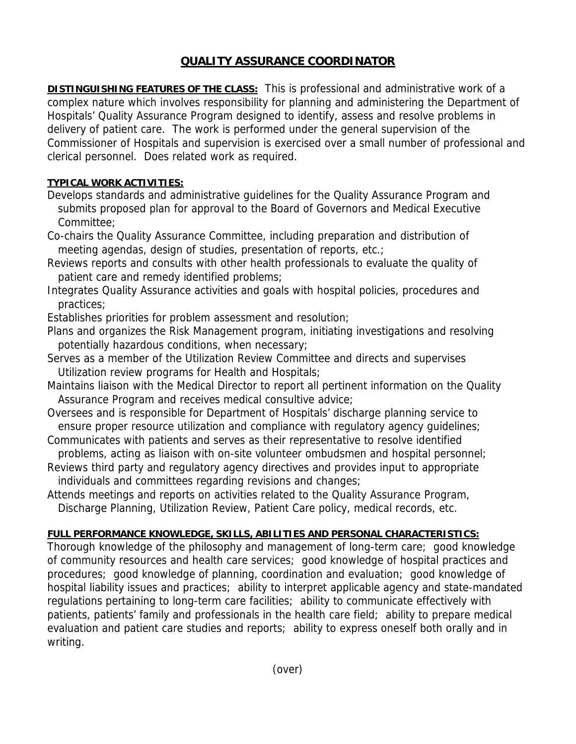## **QUALITY ASSURANCE COORDINATOR**

**DISTINGUISHING FEATURES OF THE CLASS:** This is professional and administrative work of a complex nature which involves responsibility for planning and administering the Department of Hospitals' Quality Assurance Program designed to identify, assess and resolve problems in delivery of patient care. The work is performed under the general supervision of the Commissioner of Hospitals and supervision is exercised over a small number of professional and clerical personnel. Does related work as required.

## **TYPICAL WORK ACTIVITIES:**

- Develops standards and administrative guidelines for the Quality Assurance Program and submits proposed plan for approval to the Board of Governors and Medical Executive Committee;
- Co-chairs the Quality Assurance Committee, including preparation and distribution of meeting agendas, design of studies, presentation of reports, etc.;
- Reviews reports and consults with other health professionals to evaluate the quality of patient care and remedy identified problems;
- Integrates Quality Assurance activities and goals with hospital policies, procedures and practices;

Establishes priorities for problem assessment and resolution;

- Plans and organizes the Risk Management program, initiating investigations and resolving potentially hazardous conditions, when necessary;
- Serves as a member of the Utilization Review Committee and directs and supervises Utilization review programs for Health and Hospitals;
- Maintains liaison with the Medical Director to report all pertinent information on the Quality Assurance Program and receives medical consultive advice;
- Oversees and is responsible for Department of Hospitals' discharge planning service to ensure proper resource utilization and compliance with regulatory agency guidelines;
- Communicates with patients and serves as their representative to resolve identified
- problems, acting as liaison with on-site volunteer ombudsmen and hospital personnel; Reviews third party and regulatory agency directives and provides input to appropriate individuals and committees regarding revisions and changes;
- Attends meetings and reports on activities related to the Quality Assurance Program, Discharge Planning, Utilization Review, Patient Care policy, medical records, etc.

## **FULL PERFORMANCE KNOWLEDGE, SKILLS, ABILITIES AND PERSONAL CHARACTERISTICS:**

Thorough knowledge of the philosophy and management of long-term care; good knowledge of community resources and health care services; good knowledge of hospital practices and procedures; good knowledge of planning, coordination and evaluation; good knowledge of hospital liability issues and practices; ability to interpret applicable agency and state-mandated regulations pertaining to long-term care facilities; ability to communicate effectively with patients, patients' family and professionals in the health care field; ability to prepare medical evaluation and patient care studies and reports; ability to express oneself both orally and in writing.